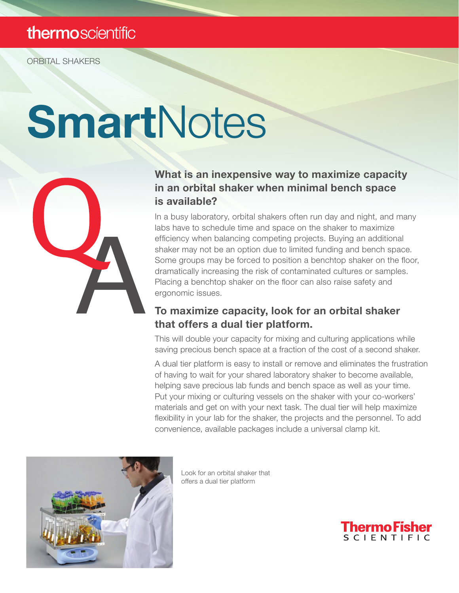### thermoscientific

ORBITAL SHAKERS

# **SmartNotes**



#### What is an inexpensive way to maximize capacity in an orbital shaker when minimal bench space is available?

In a busy laboratory, orbital shakers often run day and night, and many labs have to schedule time and space on the shaker to maximize efficiency when balancing competing projects. Buying an additional shaker may not be an option due to limited funding and bench space. Some groups may be forced to position a benchtop shaker on the floor, dramatically increasing the risk of contaminated cultures or samples. Placing a benchtop shaker on the floor can also raise safety and ergonomic issues.

#### To maximize capacity, look for an orbital shaker that offers a dual tier platform.

This will double your capacity for mixing and culturing applications while saving precious bench space at a fraction of the cost of a second shaker.

A dual tier platform is easy to install or remove and eliminates the frustration of having to wait for your shared laboratory shaker to become available, helping save precious lab funds and bench space as well as your time. Put your mixing or culturing vessels on the shaker with your co-workers' materials and get on with your next task. The dual tier will help maximize flexibility in your lab for the shaker, the projects and the personnel. To add convenience, available packages include a universal clamp kit.



Look for an orbital shaker that offers a dual tier platform